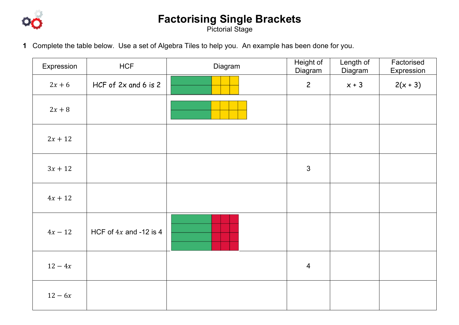

## **Factorising Single Brackets**

Pictorial Stage

**1** Complete the table below. Use a set of Algebra Tiles to help you. An example has been done for you.

| Expression | <b>HCF</b>               | Diagram | Height of<br>Diagram | Length of<br>Diagram | Factorised<br>Expression |
|------------|--------------------------|---------|----------------------|----------------------|--------------------------|
| $2x+6$     | HCF of 2x and 6 is 2     |         | $\overline{c}$       | $x + 3$              | $2(x + 3)$               |
| $2x+8$     |                          |         |                      |                      |                          |
| $2x + 12$  |                          |         |                      |                      |                          |
| $3x + 12$  |                          |         | $\mathbf{3}$         |                      |                          |
| $4x + 12$  |                          |         |                      |                      |                          |
| $4x - 12$  | HCF of $4x$ and -12 is 4 |         |                      |                      |                          |
| $12 - 4x$  |                          |         | $\overline{4}$       |                      |                          |
| $12 - 6x$  |                          |         |                      |                      |                          |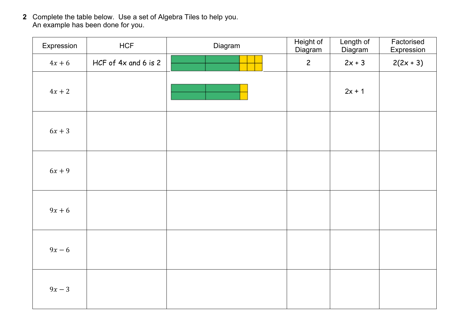**2** Complete the table below. Use a set of Algebra Tiles to help you. An example has been done for you.

| Expression | <b>HCF</b>           | Diagram | Height of<br>Diagram | Length of<br>Diagram | Factorised<br>Expression |
|------------|----------------------|---------|----------------------|----------------------|--------------------------|
| $4x + 6$   | HCF of 4x and 6 is 2 |         | $\overline{c}$       | $2x + 3$             | $2(2x + 3)$              |
| $4x + 2$   |                      |         |                      | $2x + 1$             |                          |
| $6x+3$     |                      |         |                      |                      |                          |
| $6x + 9$   |                      |         |                      |                      |                          |
| $9x + 6$   |                      |         |                      |                      |                          |
| $9x - 6$   |                      |         |                      |                      |                          |
| $9x - 3$   |                      |         |                      |                      |                          |